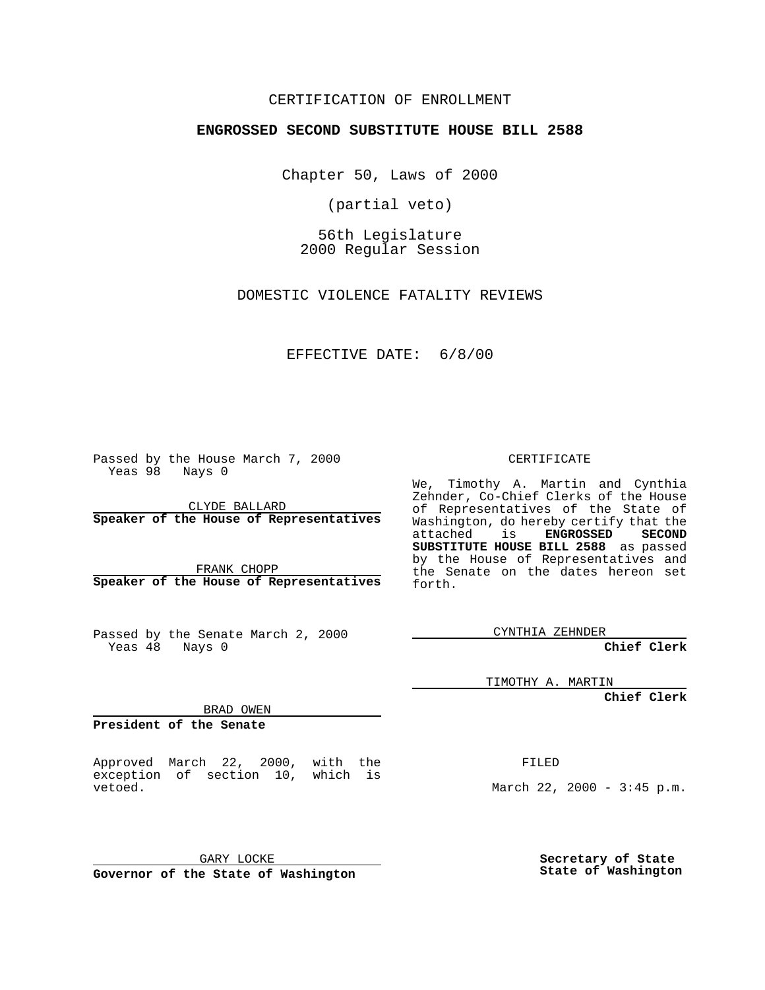## CERTIFICATION OF ENROLLMENT

# **ENGROSSED SECOND SUBSTITUTE HOUSE BILL 2588**

Chapter 50, Laws of 2000

(partial veto)

56th Legislature 2000 Regular Session

DOMESTIC VIOLENCE FATALITY REVIEWS

#### EFFECTIVE DATE: 6/8/00

Passed by the House March 7, 2000 Yeas 98 Nays 0

CLYDE BALLARD **Speaker of the House of Representatives**

FRANK CHOPP **Speaker of the House of Representatives**

Passed by the Senate March 2, 2000 Yeas 48 Nays 0

CERTIFICATE

We, Timothy A. Martin and Cynthia Zehnder, Co-Chief Clerks of the House of Representatives of the State of Washington, do hereby certify that the<br>attached is **ENGROSSED SECOND** attached is **SUBSTITUTE HOUSE BILL 2588** as passed by the House of Representatives and the Senate on the dates hereon set forth.

CYNTHIA ZEHNDER

**Chief Clerk**

TIMOTHY A. MARTIN

**Chief Clerk**

BRAD OWEN

**President of the Senate**

Approved March 22, 2000, with the exception of section 10, which is vetoed.

FILED

March 22, 2000 - 3:45 p.m.

GARY LOCKE

**Governor of the State of Washington**

**Secretary of State State of Washington**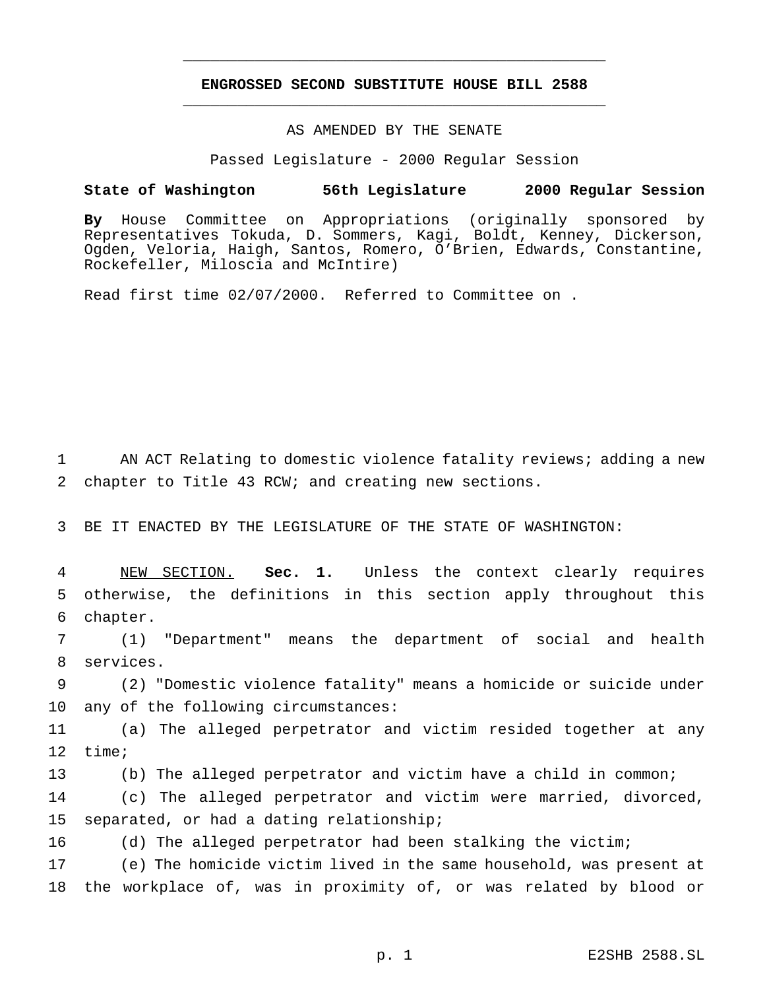# **ENGROSSED SECOND SUBSTITUTE HOUSE BILL 2588** \_\_\_\_\_\_\_\_\_\_\_\_\_\_\_\_\_\_\_\_\_\_\_\_\_\_\_\_\_\_\_\_\_\_\_\_\_\_\_\_\_\_\_\_\_\_\_

\_\_\_\_\_\_\_\_\_\_\_\_\_\_\_\_\_\_\_\_\_\_\_\_\_\_\_\_\_\_\_\_\_\_\_\_\_\_\_\_\_\_\_\_\_\_\_

## AS AMENDED BY THE SENATE

Passed Legislature - 2000 Regular Session

#### **State of Washington 56th Legislature 2000 Regular Session**

**By** House Committee on Appropriations (originally sponsored by Representatives Tokuda, D. Sommers, Kagi, Boldt, Kenney, Dickerson, Ogden, Veloria, Haigh, Santos, Romero, O'Brien, Edwards, Constantine, Rockefeller, Miloscia and McIntire)

Read first time 02/07/2000. Referred to Committee on .

1 AN ACT Relating to domestic violence fatality reviews; adding a new 2 chapter to Title 43 RCW; and creating new sections.

3 BE IT ENACTED BY THE LEGISLATURE OF THE STATE OF WASHINGTON:

4 NEW SECTION. **Sec. 1.** Unless the context clearly requires 5 otherwise, the definitions in this section apply throughout this 6 chapter.

7 (1) "Department" means the department of social and health 8 services.

9 (2) "Domestic violence fatality" means a homicide or suicide under 10 any of the following circumstances:

11 (a) The alleged perpetrator and victim resided together at any 12 time;

13 (b) The alleged perpetrator and victim have a child in common;

14 (c) The alleged perpetrator and victim were married, divorced, 15 separated, or had a dating relationship;

16 (d) The alleged perpetrator had been stalking the victim;

17 (e) The homicide victim lived in the same household, was present at 18 the workplace of, was in proximity of, or was related by blood or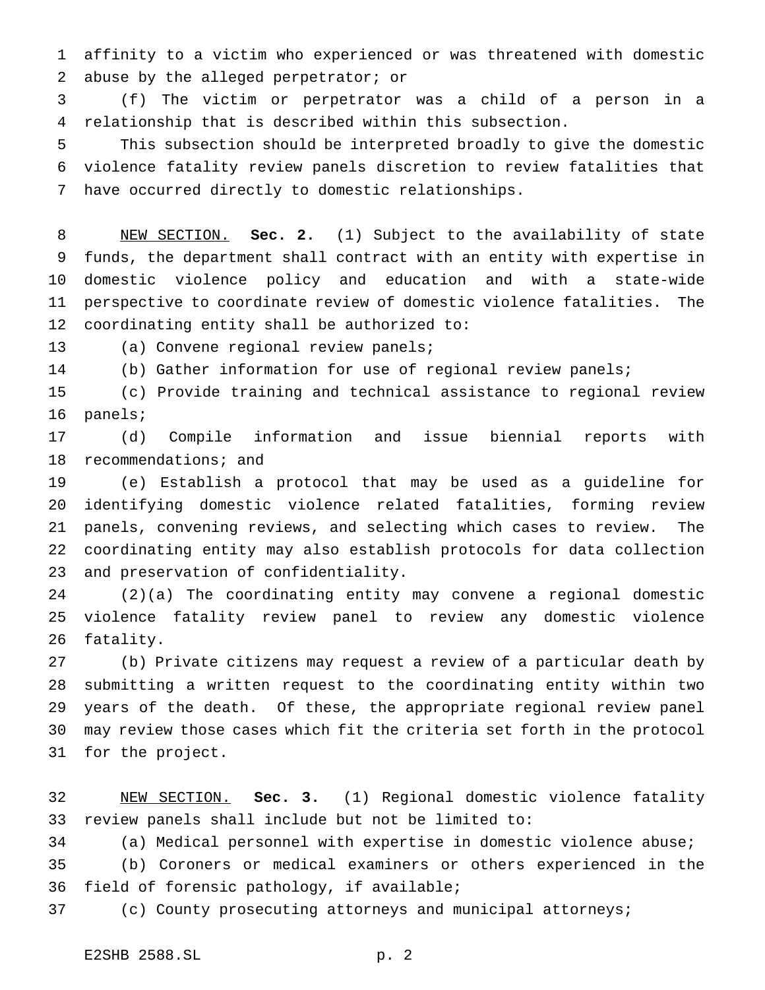affinity to a victim who experienced or was threatened with domestic abuse by the alleged perpetrator; or

 (f) The victim or perpetrator was a child of a person in a relationship that is described within this subsection.

 This subsection should be interpreted broadly to give the domestic violence fatality review panels discretion to review fatalities that have occurred directly to domestic relationships.

 NEW SECTION. **Sec. 2.** (1) Subject to the availability of state funds, the department shall contract with an entity with expertise in domestic violence policy and education and with a state-wide perspective to coordinate review of domestic violence fatalities. The coordinating entity shall be authorized to:

(a) Convene regional review panels;

(b) Gather information for use of regional review panels;

 (c) Provide training and technical assistance to regional review panels;

 (d) Compile information and issue biennial reports with 18 recommendations; and

 (e) Establish a protocol that may be used as a guideline for identifying domestic violence related fatalities, forming review panels, convening reviews, and selecting which cases to review. The coordinating entity may also establish protocols for data collection and preservation of confidentiality.

 (2)(a) The coordinating entity may convene a regional domestic violence fatality review panel to review any domestic violence fatality.

 (b) Private citizens may request a review of a particular death by submitting a written request to the coordinating entity within two years of the death. Of these, the appropriate regional review panel may review those cases which fit the criteria set forth in the protocol for the project.

 NEW SECTION. **Sec. 3.** (1) Regional domestic violence fatality review panels shall include but not be limited to:

(a) Medical personnel with expertise in domestic violence abuse;

 (b) Coroners or medical examiners or others experienced in the field of forensic pathology, if available;

(c) County prosecuting attorneys and municipal attorneys;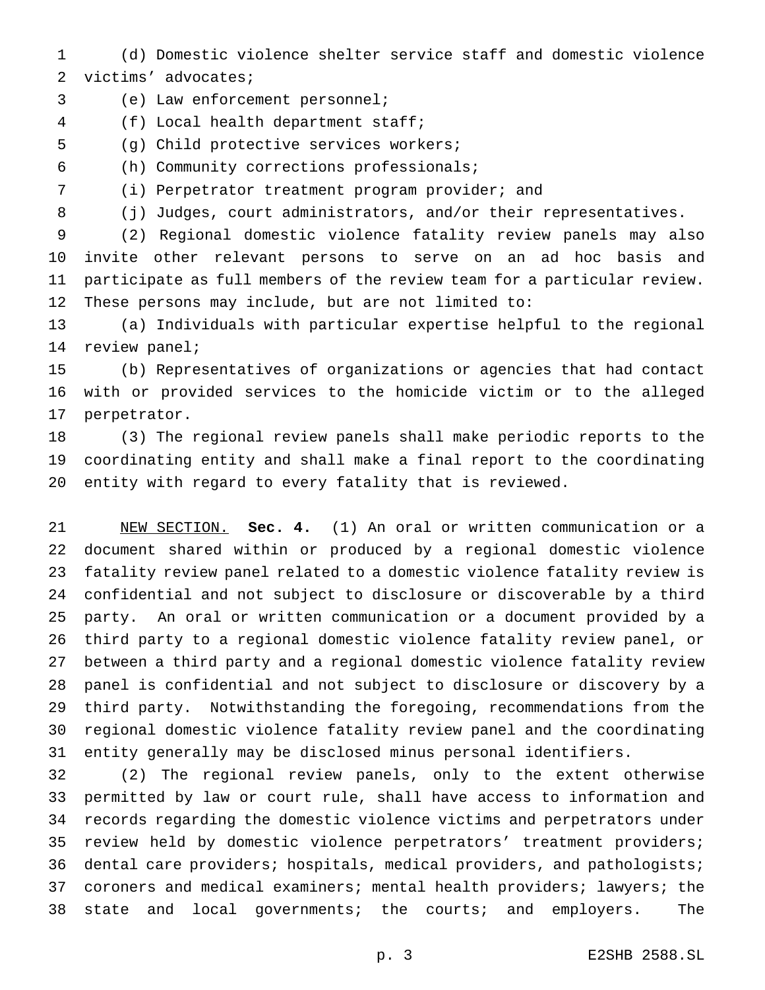- (d) Domestic violence shelter service staff and domestic violence victims' advocates;
- (e) Law enforcement personnel;
- (f) Local health department staff;
- (g) Child protective services workers;
- (h) Community corrections professionals;
- (i) Perpetrator treatment program provider; and
- 8 (j) Judges, court administrators, and/or their representatives.

 (2) Regional domestic violence fatality review panels may also invite other relevant persons to serve on an ad hoc basis and participate as full members of the review team for a particular review. These persons may include, but are not limited to:

 (a) Individuals with particular expertise helpful to the regional review panel;

 (b) Representatives of organizations or agencies that had contact with or provided services to the homicide victim or to the alleged perpetrator.

 (3) The regional review panels shall make periodic reports to the coordinating entity and shall make a final report to the coordinating entity with regard to every fatality that is reviewed.

 NEW SECTION. **Sec. 4.** (1) An oral or written communication or a document shared within or produced by a regional domestic violence fatality review panel related to a domestic violence fatality review is confidential and not subject to disclosure or discoverable by a third party. An oral or written communication or a document provided by a third party to a regional domestic violence fatality review panel, or between a third party and a regional domestic violence fatality review panel is confidential and not subject to disclosure or discovery by a third party. Notwithstanding the foregoing, recommendations from the regional domestic violence fatality review panel and the coordinating entity generally may be disclosed minus personal identifiers.

 (2) The regional review panels, only to the extent otherwise permitted by law or court rule, shall have access to information and records regarding the domestic violence victims and perpetrators under review held by domestic violence perpetrators' treatment providers; dental care providers; hospitals, medical providers, and pathologists; coroners and medical examiners; mental health providers; lawyers; the state and local governments; the courts; and employers. The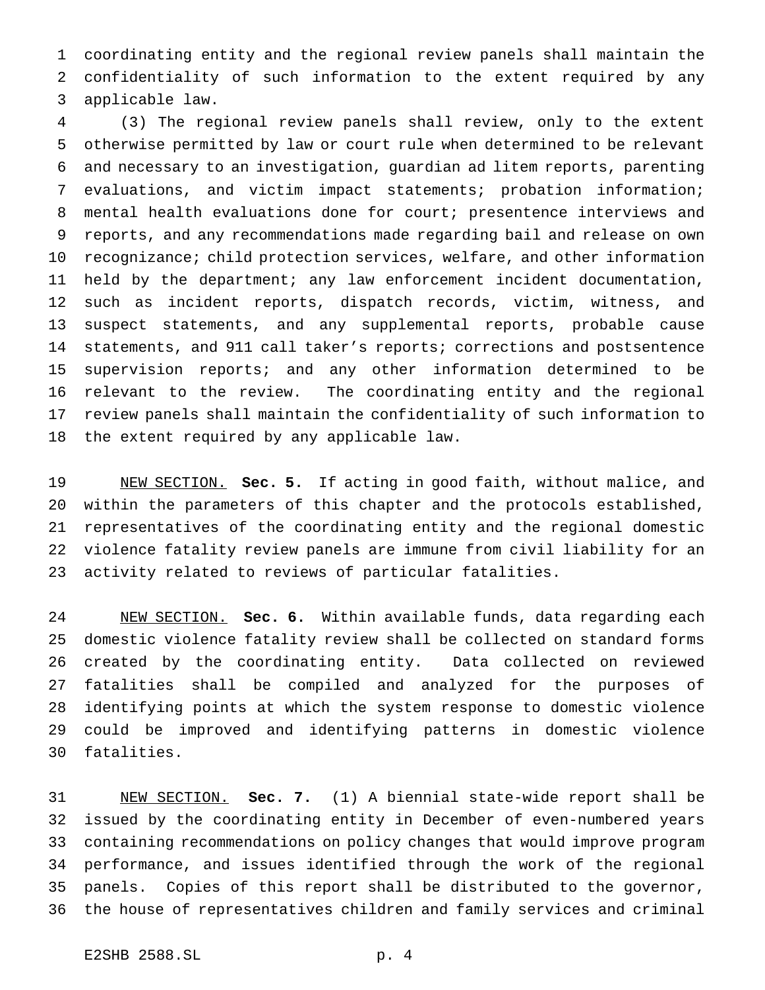coordinating entity and the regional review panels shall maintain the confidentiality of such information to the extent required by any applicable law.

 (3) The regional review panels shall review, only to the extent otherwise permitted by law or court rule when determined to be relevant and necessary to an investigation, guardian ad litem reports, parenting evaluations, and victim impact statements; probation information; mental health evaluations done for court; presentence interviews and reports, and any recommendations made regarding bail and release on own recognizance; child protection services, welfare, and other information held by the department; any law enforcement incident documentation, such as incident reports, dispatch records, victim, witness, and suspect statements, and any supplemental reports, probable cause statements, and 911 call taker's reports; corrections and postsentence supervision reports; and any other information determined to be relevant to the review. The coordinating entity and the regional review panels shall maintain the confidentiality of such information to the extent required by any applicable law.

 NEW SECTION. **Sec. 5.** If acting in good faith, without malice, and within the parameters of this chapter and the protocols established, representatives of the coordinating entity and the regional domestic violence fatality review panels are immune from civil liability for an activity related to reviews of particular fatalities.

 NEW SECTION. **Sec. 6.** Within available funds, data regarding each domestic violence fatality review shall be collected on standard forms created by the coordinating entity. Data collected on reviewed fatalities shall be compiled and analyzed for the purposes of identifying points at which the system response to domestic violence could be improved and identifying patterns in domestic violence fatalities.

 NEW SECTION. **Sec. 7.** (1) A biennial state-wide report shall be issued by the coordinating entity in December of even-numbered years containing recommendations on policy changes that would improve program performance, and issues identified through the work of the regional panels. Copies of this report shall be distributed to the governor, the house of representatives children and family services and criminal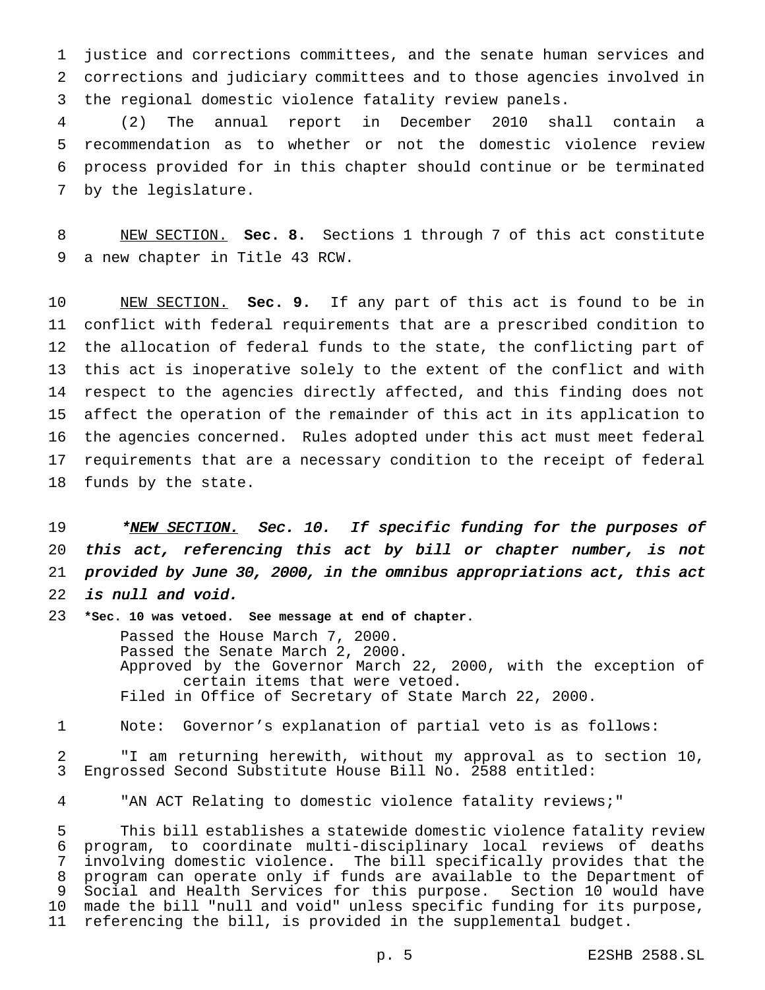justice and corrections committees, and the senate human services and corrections and judiciary committees and to those agencies involved in the regional domestic violence fatality review panels.

 (2) The annual report in December 2010 shall contain a recommendation as to whether or not the domestic violence review process provided for in this chapter should continue or be terminated by the legislature.

 NEW SECTION. **Sec. 8.** Sections 1 through 7 of this act constitute a new chapter in Title 43 RCW.

 NEW SECTION. **Sec. 9.** If any part of this act is found to be in conflict with federal requirements that are a prescribed condition to the allocation of federal funds to the state, the conflicting part of this act is inoperative solely to the extent of the conflict and with respect to the agencies directly affected, and this finding does not affect the operation of the remainder of this act in its application to the agencies concerned. Rules adopted under this act must meet federal requirements that are a necessary condition to the receipt of federal funds by the state.

19 \*NEW SECTION. Sec. 10. If specific funding for the purposes of this act, referencing this act by bill or chapter number, is not provided by June 30, 2000, in the omnibus appropriations act, this act is null and void.

**\*Sec. 10 was vetoed. See message at end of chapter.**

Passed the House March 7, 2000. Passed the Senate March 2, 2000. Approved by the Governor March 22, 2000, with the exception of certain items that were vetoed. Filed in Office of Secretary of State March 22, 2000.

Note: Governor's explanation of partial veto is as follows:

 "I am returning herewith, without my approval as to section 10, Engrossed Second Substitute House Bill No. 2588 entitled:

"AN ACT Relating to domestic violence fatality reviews;"

 This bill establishes a statewide domestic violence fatality review program, to coordinate multi-disciplinary local reviews of deaths involving domestic violence. The bill specifically provides that the program can operate only if funds are available to the Department of Social and Health Services for this purpose. Section 10 would have made the bill "null and void" unless specific funding for its purpose, referencing the bill, is provided in the supplemental budget.